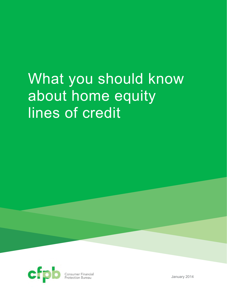# What you should know about home equity lines of credit



Consumer Financial<br>Protection Bureau

January 2014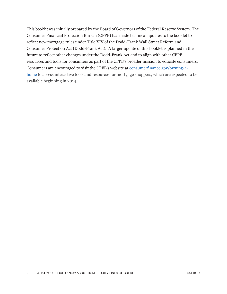This booklet was initially prepared by the Board of Governors of the Federal Reserve System. The Consumer Financial Protection Bureau (CFPB) has made technical updates to the booklet to reflect new mortgage rules under Title XIV of the Dodd-Frank Wall Street Reform and Consumer Protection Act (Dodd-Frank Act). A larger update of this booklet is planned in the future to reflect other changes under the Dodd-Frank Act and to align with other CFPB resources and tools for consumers as part of the CFPB's broader mission to educate consumers. Consumers are encouraged to visit the CPFB's website at consumerfinance.gov/owning-ahome to access interactive tools and resources for mortgage shoppers, which are expected to be available beginning in 2014.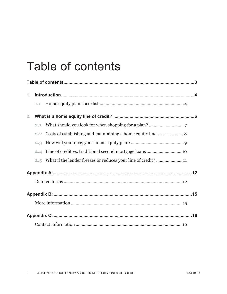## **Table of contents**

| 1.             |     |  |  |  |
|----------------|-----|--|--|--|
|                | 1.1 |  |  |  |
| 2 <sub>1</sub> |     |  |  |  |
|                | 2,1 |  |  |  |
|                | 2.2 |  |  |  |
|                | 2.3 |  |  |  |
|                | 2.4 |  |  |  |
|                |     |  |  |  |
|                |     |  |  |  |
|                |     |  |  |  |
|                |     |  |  |  |
|                |     |  |  |  |
|                |     |  |  |  |
|                |     |  |  |  |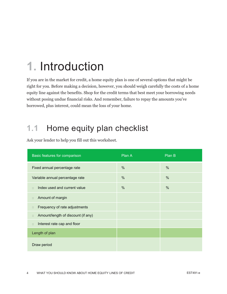## **1.** Introduction

If you are in the market for credit, a home equity plan is one of several options that might be right for you. Before making a decision, however, you should weigh carefully the costs of a home equity line against the benefits. Shop for the credit terms that best meet your borrowing needs without posing undue financial risks. And remember, failure to repay the amounts you've borrowed, plus interest, could mean the loss of your home.

### **1.1 Home equity plan checklist**

| Basic features for comparison                        | Plan A        | Plan B |
|------------------------------------------------------|---------------|--------|
| Fixed annual percentage rate                         | $\%$          | %      |
| Variable annual percentage rate                      | $\frac{0}{0}$ | %      |
| Index used and current value<br>$\qquad \qquad \Box$ | $\frac{0}{0}$ | %      |
| Amount of margin<br>$\Box$                           |               |        |
| Frequency of rate adjustments<br>$\Box$              |               |        |
| Amount/length of discount (if any)<br>$\Box$         |               |        |
| Interest rate cap and floor<br>$\Box$                |               |        |
| Length of plan                                       |               |        |
| Draw period                                          |               |        |

Ask your lender to help you fill out this worksheet.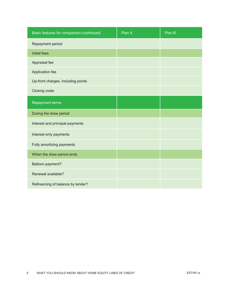| Basic features for comparison (continued) | Plan A | Plan B |
|-------------------------------------------|--------|--------|
| Repayment period                          |        |        |
| <b>Initial fees</b>                       |        |        |
| Appraisal fee                             |        |        |
| Application fee                           |        |        |
| Up-front charges, including points        |        |        |
| <b>Closing costs</b>                      |        |        |
| <b>Repayment terms</b>                    |        |        |
| During the draw period                    |        |        |
| Interest and principal payments           |        |        |
| Interest-only payments                    |        |        |
| Fully amortizing payments                 |        |        |
| When the draw period ends                 |        |        |
| <b>Balloon payment?</b>                   |        |        |
| Renewal available?                        |        |        |
| Refinancing of balance by lender?         |        |        |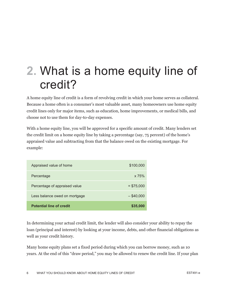## 2. What is a home equity line of credit?

A home equity line of credit is a form of revolving credit in which your home serves as collateral. Because a home often is a consumer's most valuable asset, many homeowners use home equity credit lines only for major items, such as education, home improvements, or medical bills, and choose not to use them for day-to-day expenses.

With a home equity line, you will be approved for a specific amount of credit. Many lenders set the credit limit on a home equity line by taking a percentage (say, 75 percent) of the home's appraised value and subtracting from that the balance owed on the existing mortgage. For example:

| Appraised value of home         | \$100,000     |
|---------------------------------|---------------|
| Percentage                      | $\times 75\%$ |
| Percentage of appraised value   | $=$ \$75,000  |
| Less balance owed on mortgage   | $-$ \$40,000  |
| <b>Potential line of credit</b> | \$35,000      |

In determining your actual credit limit, the lender will also consider your ability to repay the loan (principal and interest) by looking at your income, debts, and other financial obligations as well as your credit history.

Many home equity plans set a fixed period during which you can borrow money, such as 10 years. At the end of this "draw period," you may be allowed to renew the credit line. If your plan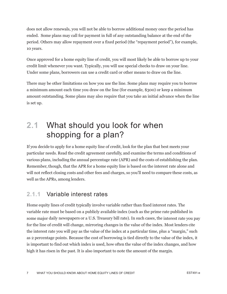does not allow renewals, you will not be able to borrow additional money once the period has ended. Some plans may call for payment in full of any outstanding balance at the end of the period. Others may allow repayment over a fixed period (the "repayment period"), for example, 10 years.

Once approved for a home equity line of credit, you will most likely be able to borrow up to your credit limit whenever you want. Typically, you will use special checks to draw on your line. Under some plans, borrowers can use a credit card or other means to draw on the line.

There may be other limitations on how you use the line. Some plans may require you to borrow a minimum amount each time you draw on the line (for example, \$300) or keep a minimum amount outstanding. Some plans may also require that you take an initial advance when the line is set up.

### 2.1 What should you look for when shopping for a plan?

If you decide to apply for a home equity line of credit, look for the plan that best meets your particular needs. Read the credit agreement carefully, and examine the terms and conditions of various plans, including the annual percentage rate (APR) and the costs of establishing the plan. Remember, though, that the APR for a home equity line is based on the interest rate alone and will not reflect closing costs and other fees and charges, so you'll need to compare these costs, as well as the APRs, among lenders.

#### **2.1.1 Variable interest rates**

Home equity lines of credit typically involve variable rather than fixed interest rates. The variable rate must be based on a publicly available index (such as the prime rate published in some major daily newspapers or a U.S. Treasury bill rate). In such cases, the interest rate you pay for the line of credit will change, mirroring changes in the value of the index. Most lenders cite the interest rate you will pay as the value of the index at a particular time, plus a "margin," such as 2 percentage points. Because the cost of borrowing is tied directly to the value of the index, it is important to find out which index is used, how often the value of the index changes, and how high it has risen in the past. It is also important to note the amount of the margin.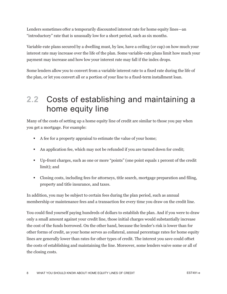Lenders sometimes offer a temporarily discounted interest rate for home equity lines—an "introductory" rate that is unusually low for a short period, such as six months.

Variable-rate plans secured by a dwelling must, by law, have a ceiling (or cap) on how much your interest rate may increase over the life of the plan. Some variable-rate plans limit how much your payment may increase and how low your interest rate may fall if the index drops.

Some lenders allow you to convert from a variable interest rate to a fixed rate during the life of the plan, or let you convert all or a portion of your line to a fixed-term installment loan.

### **2.2 Costs of establishing and maintaining a** home equity line

Many of the costs of setting up a home equity line of credit are similar to those you pay when you get a mortgage. For example:

- A fee for a property appraisal to estimate the value of your home;
- An application fee, which may not be refunded if you are turned down for credit;
- Up-front charges, such as one or more "points" (one point equals 1 percent of the credit limit); and
- Closing costs, including fees for attorneys, title search, mortgage preparation and filing, property and title insurance, and taxes.

In addition, you may be subject to certain fees during the plan period, such as annual membership or maintenance fees and a transaction fee every time you draw on the credit line.

You could find yourself paying hundreds of dollars to establish the plan. And if you were to draw only a small amount against your credit line, those initial charges would substantially increase the cost of the funds borrowed. On the other hand, because the lender's risk is lower than for other forms of credit, as your home serves as collateral, annual percentage rates for home equity lines are generally lower than rates for other types of credit. The interest you save could offset the costs of establishing and maintaining the line. Moreover, some lenders waive some or all of the closing costs.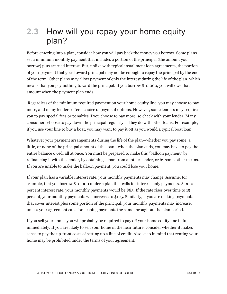### 2.3 How will you repay your home equity plan?

Before entering into a plan, consider how you will pay back the money you borrow. Some plans set a minimum monthly payment that includes a portion of the principal (the amount you borrow) plus accrued interest. But, unlike with typical installment loan agreements, the portion of your payment that goes toward principal may not be enough to repay the principal by the end of the term. Other plans may allow payment of only the interest during the life of the plan, which means that you pay nothing toward the principal. If you borrow \$10,000, you will owe that amount when the payment plan ends.

 Regardless of the minimum required payment on your home equity line, you may choose to pay more, and many lenders offer a choice of payment options. However, some lenders may require you to pay special fees or penalties if you choose to pay more, so check with your lender. Many consumers choose to pay down the principal regularly as they do with other loans. For example, if you use your line to buy a boat, you may want to pay it off as you would a typical boat loan.

Whatever your payment arrangements during the life of the plan—whether you pay some, a little, or none of the principal amount of the loan—when the plan ends, you may have to pay the entire balance owed, all at once. You must be prepared to make this "balloon payment" by refinancing it with the lender, by obtaining a loan from another lender, or by some other means. If you are unable to make the balloon payment, you could lose your home.

If your plan has a variable interest rate, your monthly payments may change. Assume, for example, that you borrow \$10,000 under a plan that calls for interest-only payments. At a 10 percent interest rate, your monthly payments would be \$83. If the rate rises over time to 15 percent, your monthly payments will increase to \$125. Similarly, if you are making payments that cover interest plus some portion of the principal, your monthly payments may increase, unless your agreement calls for keeping payments the same throughout the plan period.

If you sell your home, you will probably be required to pay off your home equity line in full immediately. If you are likely to sell your home in the near future, consider whether it makes sense to pay the up-front costs of setting up a line of credit. Also keep in mind that renting your home may be prohibited under the terms of your agreement.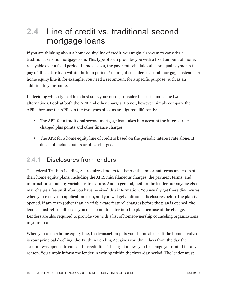### 2.4 Line of credit vs. traditional second mortgage loans

If you are thinking about a home equity line of credit, you might also want to consider a traditional second mortgage loan. This type of loan provides you with a fixed amount of money, repayable over a fixed period. In most cases, the payment schedule calls for equal payments that pay off the entire loan within the loan period. You might consider a second mortgage instead of a home equity line if, for example, you need a set amount for a specific purpose, such as an addition to your home.

In deciding which type of loan best suits your needs, consider the costs under the two alternatives. Look at both the APR and other charges. Do not, however, simply compare the APRs, because the APRs on the two types of loans are figured differently:

- The APR for a traditional second mortgage loan takes into account the interest rate charged plus points and other finance charges.
- The APR for a home equity line of credit is based on the periodic interest rate alone. It does not include points or other charges.

#### **2.4.1 Disclosures from lenders**

The federal Truth in Lending Act requires lenders to disclose the important terms and costs of their home equity plans, including the APR, miscellaneous charges, the payment terms, and information about any variable-rate feature. And in general, neither the lender nor anyone else may charge a fee until after you have received this information. You usually get these disclosures when you receive an application form, and you will get additional disclosures before the plan is opened. If any term (other than a variable-rate feature) changes before the plan is opened, the lender must return all fees if you decide not to enter into the plan because of the change. Lenders are also required to provide you with a list of homeownership counseling organizations in your area.

When you open a home equity line, the transaction puts your home at risk. If the home involved is your principal dwelling, the Truth in Lending Act gives you three days from the day the account was opened to cancel the credit line. This right allows you to change your mind for any reason. You simply inform the lender in writing within the three-day period. The lender must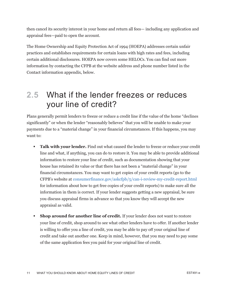then cancel its security interest in your home and return all fees— including any application and appraisal fees—paid to open the account.

The Home Ownership and Equity Protection Act of 1994 (HOEPA) addresses certain unfair practices and establishes requirements for certain loans with high rates and fees, including certain additional disclosures. HOEPA now covers some HELOCs. You can find out more information by contacting the CFPB at the website address and phone number listed in the Contact information appendix, below.

#### 2.5 What if the lender freezes or reduces your line of credit?

Plans generally permit lenders to freeze or reduce a credit line if the value of the home "declines significantly" or when the lender "reasonably believes" that you will be unable to make your payments due to a "material change" in your financial circumstances. If this happens, you may want to:

- **Talk with your lender.** Find out what caused the lender to freeze or reduce your credit line and what, if anything, you can do to restore it. You may be able to provide additional information to restore your line of credit, such as documentation showing that your house has retained its value or that there has not been a "material change" in your financial circumstances. You may want to get copies of your credit reports (go to the CFPB's website at consumerfinance.gov/askcfpb/5/can-i-review-my-credit-report.html for information about how to get free copies of your credit reports) to make sure all the information in them is correct. If your lender suggests getting a new appraisal, be sure you discuss appraisal firms in advance so that you know they will accept the new appraisal as valid.
- **Shop around for another line of credit.** If your lender does not want to restore your line of credit, shop around to see what other lenders have to offer. If another lender is willing to offer you a line of credit, you may be able to pay off your original line of credit and take out another one. Keep in mind, however, that you may need to pay some of the same application fees you paid for your original line of credit.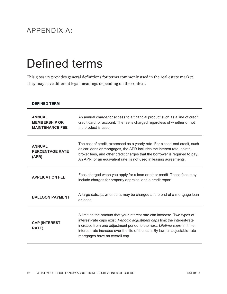#### APPENDIX A:

## Defined terms

This glossary provides general definitions for terms commonly used in the real estate market. They may have different legal meanings depending on the context.

| <b>DEFINED TERM</b>                                             |                                                                                                                                                                                                                                                                                                                                                       |
|-----------------------------------------------------------------|-------------------------------------------------------------------------------------------------------------------------------------------------------------------------------------------------------------------------------------------------------------------------------------------------------------------------------------------------------|
| <b>ANNUAL</b><br><b>MEMBERSHIP OR</b><br><b>MAINTENANCE FEE</b> | An annual charge for access to a financial product such as a line of credit,<br>credit card, or account. The fee is charged regardless of whether or not<br>the product is used.                                                                                                                                                                      |
| <b>ANNUAL</b><br><b>PERCENTAGE RATE</b><br>(APR)                | The cost of credit, expressed as a yearly rate. For closed-end credit, such<br>as car loans or mortgages, the APR includes the interest rate, points,<br>broker fees, and other credit charges that the borrower is required to pay.<br>An APR, or an equivalent rate, is not used in leasing agreements.                                             |
| <b>APPLICATION FEE</b>                                          | Fees charged when you apply for a loan or other credit. These fees may<br>include charges for property appraisal and a credit report.                                                                                                                                                                                                                 |
| <b>BALLOON PAYMENT</b>                                          | A large extra payment that may be charged at the end of a mortgage loan<br>or lease.                                                                                                                                                                                                                                                                  |
| <b>CAP (INTEREST</b><br><b>RATE)</b>                            | A limit on the amount that your interest rate can increase. Two types of<br>interest-rate caps exist. Periodic adjustment caps limit the interest-rate<br>increase from one adjustment period to the next. Lifetime caps limit the<br>interest-rate increase over the life of the loan. By law, all adjustable-rate<br>mortgages have an overall cap. |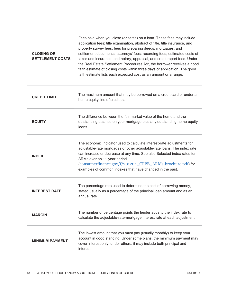| <b>CLOSING OR</b><br><b>SETTLEMENT COSTS</b> | Fees paid when you close (or settle) on a loan. These fees may include<br>application fees; title examination, abstract of title, title insurance, and<br>property survey fees; fees for preparing deeds, mortgages, and<br>settlement documents; attorneys' fees; recording fees; estimated costs of<br>taxes and insurance; and notary, appraisal, and credit report fees. Under<br>the Real Estate Settlement Procedures Act, the borrower receives a good<br>faith estimate of closing costs within three days of application. The good<br>faith estimate lists each expected cost as an amount or a range. |
|----------------------------------------------|-----------------------------------------------------------------------------------------------------------------------------------------------------------------------------------------------------------------------------------------------------------------------------------------------------------------------------------------------------------------------------------------------------------------------------------------------------------------------------------------------------------------------------------------------------------------------------------------------------------------|
| <b>CREDIT LIMIT</b>                          | The maximum amount that may be borrowed on a credit card or under a<br>home equity line of credit plan.                                                                                                                                                                                                                                                                                                                                                                                                                                                                                                         |
| <b>EQUITY</b>                                | The difference between the fair market value of the home and the<br>outstanding balance on your mortgage plus any outstanding home equity<br>loans.                                                                                                                                                                                                                                                                                                                                                                                                                                                             |
| <b>INDEX</b>                                 | The economic indicator used to calculate interest-rate adjustments for<br>adjustable-rate mortgages or other adjustable-rate loans. The index rate<br>can increase or decrease at any time. See also Selected index rates for<br>ARMs over an 11-year period<br>(consumerfinance.gov/f/201204_CFPB_ARMs-brochure.pdf) for<br>examples of common indexes that have changed in the past.                                                                                                                                                                                                                          |
| <b>INTEREST RATE</b>                         | The percentage rate used to determine the cost of borrowing money,<br>stated usually as a percentage of the principal loan amount and as an<br>annual rate.                                                                                                                                                                                                                                                                                                                                                                                                                                                     |
| <b>MARGIN</b>                                | The number of percentage points the lender adds to the index rate to<br>calculate the adjustable-rate-mortgage interest rate at each adjustment.                                                                                                                                                                                                                                                                                                                                                                                                                                                                |
| <b>MINIMUM PAYMENT</b>                       | The lowest amount that you must pay (usually monthly) to keep your<br>account in good standing. Under some plans, the minimum payment may<br>cover interest only; under others, it may include both principal and<br>interest.                                                                                                                                                                                                                                                                                                                                                                                  |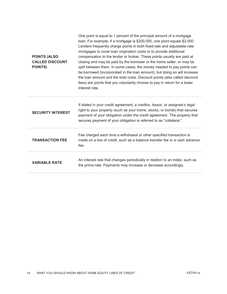| <b>POINTS (ALSO)</b><br><b>CALLED DISCOUNT</b><br><b>POINTS)</b> | One point is equal to 1 percent of the principal amount of a mortgage<br>loan. For example, if a mortgage is \$200,000, one point equals \$2,000.<br>Lenders frequently charge points in both fixed-rate and adjustable-rate<br>mortgages to cover loan origination costs or to provide additional<br>compensation to the lender or broker. These points usually are paid at<br>closing and may be paid by the borrower or the home seller, or may be<br>split between them. In some cases, the money needed to pay points can<br>be borrowed (incorporated in the loan amount), but doing so will increase<br>the loan amount and the total costs. Discount points (also called discount<br>fees) are points that you voluntarily choose to pay in return for a lower<br>interest rate. |
|------------------------------------------------------------------|------------------------------------------------------------------------------------------------------------------------------------------------------------------------------------------------------------------------------------------------------------------------------------------------------------------------------------------------------------------------------------------------------------------------------------------------------------------------------------------------------------------------------------------------------------------------------------------------------------------------------------------------------------------------------------------------------------------------------------------------------------------------------------------|
| <b>SECURITY INTEREST</b>                                         | If stated in your credit agreement, a creditor, lessor, or assignee's legal<br>right to your property (such as your home, stocks, or bonds) that secures<br>payment of your obligation under the credit agreement. The property that<br>secures payment of your obligation is referred to as "collateral."                                                                                                                                                                                                                                                                                                                                                                                                                                                                               |
| <b>TRANSACTION FEE</b>                                           | Fee charged each time a withdrawal or other specified transaction is<br>made on a line of credit, such as a balance transfer fee or a cash advance<br>fee.                                                                                                                                                                                                                                                                                                                                                                                                                                                                                                                                                                                                                               |
| <b>VARIABLE RATE</b>                                             | An interest rate that changes periodically in relation to an index, such as<br>the prime rate. Payments may increase or decrease accordingly.                                                                                                                                                                                                                                                                                                                                                                                                                                                                                                                                                                                                                                            |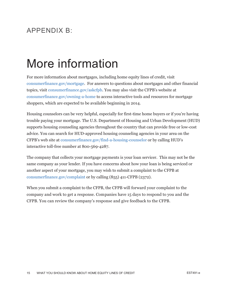#### $APPFNDIX B'$

### More information

For more information about mortgages, including home equity lines of credit, visit consumerfinance.gov/mortgage. For answers to questions about mortgages and other financial topics, visit consumerfinance.gov/askcfpb. You may also visit the CFPB's website at consumerfinance.gov/owning-a-home to access interactive tools and resources for mortgage shoppers, which are expected to be available beginning in 2014.

Housing counselors can be very helpful, especially for first-time home buyers or if you're having trouble paying your mortgage. The U.S. Department of Housing and Urban Development (HUD) supports housing counseling agencies throughout the country that can provide free or low-cost advice. You can search for HUD-approved housing counseling agencies in your area on the CFPB's web site at consumerfinance.gov/find-a-housing-counselor or by calling HUD's interactive toll-free number at 800-569-4287.

The company that collects your mortgage payments is your loan servicer. This may not be the same company as your lender. If you have concerns about how your loan is being serviced or another aspect of your mortgage, you may wish to submit a complaint to the CFPB at consumerfinance.gov/complaint or by calling (855) 411-CFPB (2372).

When you submit a complaint to the CFPB, the CFPB will forward your complaint to the company and work to get a response. Companies have 15 days to respond to you and the CFPB. You can review the company's response and give feedback to the CFPB.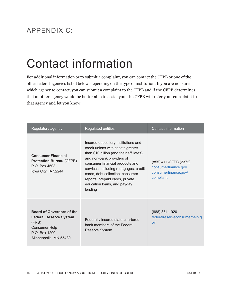#### APPENDIX C:

## Contact information

For additional information or to submit a complaint, you can contact the CFPB or one of the other federal agencies listed below, depending on the type of institution. If you are not sure which agency to contact, you can submit a complaint to the CFPB and if the CFPB determines that another agency would be better able to assist you, the CFPB will refer your complaint to that agency and let you know.

| Regulatory agency                                                                                                                            | <b>Regulated entities</b>                                                                                                                                                                                                                                                                                                                       | <b>Contact information</b>                                                        |
|----------------------------------------------------------------------------------------------------------------------------------------------|-------------------------------------------------------------------------------------------------------------------------------------------------------------------------------------------------------------------------------------------------------------------------------------------------------------------------------------------------|-----------------------------------------------------------------------------------|
| <b>Consumer Financial</b><br><b>Protection Bureau (CFPB)</b><br>P.O. Box 4503<br>Iowa City, IA 52244                                         | Insured depository institutions and<br>credit unions with assets greater<br>than \$10 billion (and their affiliates),<br>and non-bank providers of<br>consumer financial products and<br>services, including mortgages, credit<br>cards, debt collection, consumer<br>reports, prepaid cards, private<br>education loans, and payday<br>lending | (855) 411-CFPB (2372)<br>consumerfinance.gov<br>consumerfinance.gov/<br>complaint |
| <b>Board of Governors of the</b><br><b>Federal Reserve System</b><br>(FRB)<br><b>Consumer Help</b><br>P.O. Box 1200<br>Minneapolis, MN 55480 | Federally insured state-chartered<br>bank members of the Federal<br>Reserve System                                                                                                                                                                                                                                                              | (888) 851-1920<br>federalreserveconsumerhelp.g<br>O <sub>V</sub>                  |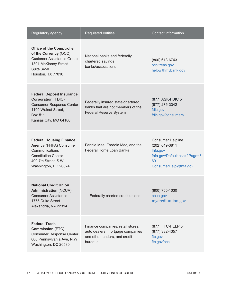| Regulatory agency                                                                                                                                               | <b>Regulated entities</b>                                                                                         | Contact information                                                                                                   |
|-----------------------------------------------------------------------------------------------------------------------------------------------------------------|-------------------------------------------------------------------------------------------------------------------|-----------------------------------------------------------------------------------------------------------------------|
| <b>Office of the Comptroller</b><br>of the Currency (OCC)<br><b>Customer Assistance Group</b><br>1301 McKinney Street<br><b>Suite 3450</b><br>Houston, TX 77010 | National banks and federally<br>chartered savings<br>banks/associations                                           | (800) 613-6743<br>occ.treas.gov<br>helpwithmybank.gov                                                                 |
| <b>Federal Deposit Insurance</b><br><b>Corporation (FDIC)</b><br><b>Consumer Response Center</b><br>1100 Walnut Street,<br>Box #11<br>Kansas City, MO 64106     | Federally insured state-chartered<br>banks that are not members of the<br><b>Federal Reserve System</b>           | (877) ASK-FDIC or<br>(877) 275-3342<br>fdic.gov<br>fdic.gov/consumers                                                 |
| <b>Federal Housing Finance</b><br><b>Agency</b> (FHFA) Consumer<br>Communications<br><b>Constitution Center</b><br>400 7th Street, S.W.<br>Washington, DC 20024 | Fannie Mae, Freddie Mac, and the<br><b>Federal Home Loan Banks</b>                                                | <b>Consumer Helpline</b><br>(202) 649-3811<br>fhfa.gov<br>fhfa.gov/Default.aspx?Page=3<br>69<br>ConsumerHelp@fhfa.gov |
| <b>National Credit Union</b><br><b>Administration (NCUA)</b><br><b>Consumer Assistance</b><br>1775 Duke Street<br>Alexandria, VA 22314                          | Federally charted credit unions                                                                                   | $(800)$ 755-1030<br>ncua.gov<br>mycreditunion.gov                                                                     |
| <b>Federal Trade</b><br><b>Commission (FTC)</b><br><b>Consumer Response Center</b><br>600 Pennsylvania Ave, N.W.<br>Washington, DC 20580                        | Finance companies, retail stores,<br>auto dealers, mortgage companies<br>and other lenders, and credit<br>bureaus | (877) FTC-HELP or<br>(877) 382-4357<br>ftc.gov<br>ftc.gov/bcp                                                         |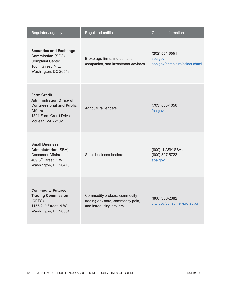| Regulatory agency                                                                                                                                        | <b>Regulated entities</b>                                                                    | <b>Contact information</b>                                  |
|----------------------------------------------------------------------------------------------------------------------------------------------------------|----------------------------------------------------------------------------------------------|-------------------------------------------------------------|
| <b>Securities and Exchange</b><br><b>Commission (SEC)</b><br><b>Complaint Center</b><br>100 F Street, N.E.<br>Washington, DC 20549                       | Brokerage firms, mutual fund<br>companies, and investment advisers                           | (202) 551-6551<br>sec.gov<br>sec.gov/complaint/select.shtml |
| <b>Farm Credit</b><br><b>Administration Office of</b><br><b>Congressional and Public</b><br><b>Affairs</b><br>1501 Farm Credit Drive<br>McLean, VA 22102 | <b>Agricultural lenders</b>                                                                  | $(703)$ 883-4056<br>fca.gov                                 |
| <b>Small Business</b><br><b>Administration (SBA)</b><br><b>Consumer Affairs</b><br>409 3rd Street, S.W.<br>Washington, DC 20416                          | Small business lenders                                                                       | (800) U-ASK-SBA or<br>(800) 827-5722<br>sba.gov             |
| <b>Commodity Futures</b><br><b>Trading Commission</b><br>(CFTC)<br>1155 21 <sup>st</sup> Street, N.W.<br>Washington, DC 20581                            | Commodity brokers, commodity<br>trading advisers, commodity pols,<br>and introducing brokers | (866) 366-2382<br>cftc.gov/consumer-protection              |